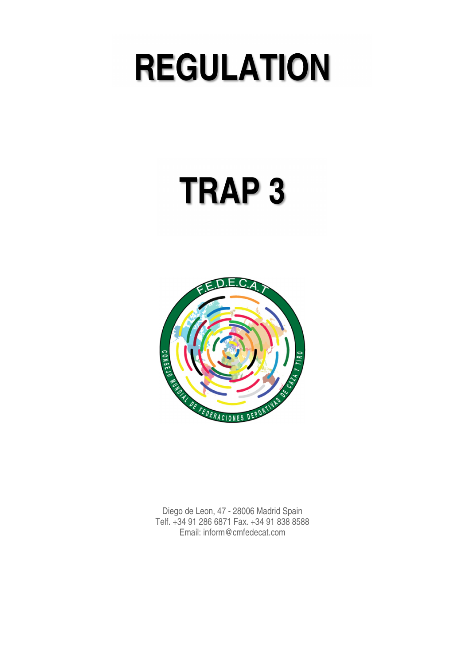# **REGULATION**

# **TRAP 3**



Diego de Leon, 47 - 28006 Madrid Spain Telf. +34 91 286 6871 Fax. +34 91 838 8588 Email: inform@cmfedecat.com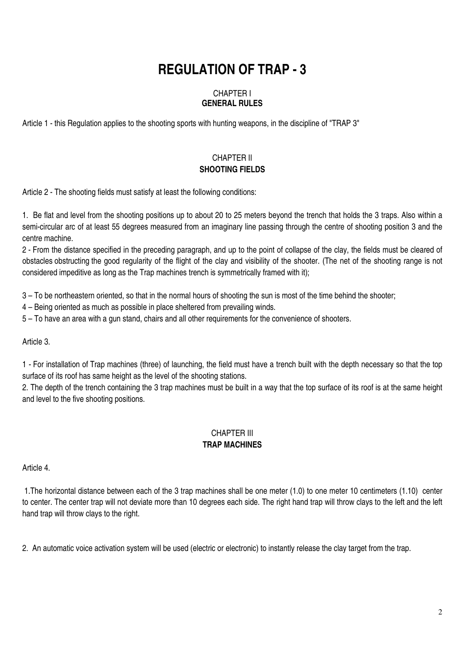# **REGULATION OF TRAP - 3**

#### CHAPTER I **GENERAL RULES**

Article 1 - this Regulation applies to the shooting sports with hunting weapons, in the discipline of "TRAP 3"

# CHAPTER II **SHOOTING FIELDS**

Article 2 - The shooting fields must satisfy at least the following conditions:

1. Be flat and level from the shooting positions up to about 20 to 25 meters beyond the trench that holds the 3 traps. Also within a semi-circular arc of at least 55 degrees measured from an imaginary line passing through the centre of shooting position 3 and the centre machine.

2 - From the distance specified in the preceding paragraph, and up to the point of collapse of the clay, the fields must be cleared of obstacles obstructing the good regularity of the flight of the clay and visibility of the shooter. (The net of the shooting range is not considered impeditive as long as the Trap machines trench is symmetrically framed with it);

3 – To be northeastern oriented, so that in the normal hours of shooting the sun is most of the time behind the shooter;

4 – Being oriented as much as possible in place sheltered from prevailing winds.

5 – To have an area with a gun stand, chairs and all other requirements for the convenience of shooters.

Article 3.

1 - For installation of Trap machines (three) of launching, the field must have a trench built with the depth necessary so that the top surface of its roof has same height as the level of the shooting stations.

2. The depth of the trench containing the 3 trap machines must be built in a way that the top surface of its roof is at the same height and level to the five shooting positions.

#### CHAPTER III **TRAP MACHINES**

Article 4.

 1.The horizontal distance between each of the 3 trap machines shall be one meter (1.0) to one meter 10 centimeters (1.10) center to center. The center trap will not deviate more than 10 degrees each side. The right hand trap will throw clays to the left and the left hand trap will throw clays to the right.

2. An automatic voice activation system will be used (electric or electronic) to instantly release the clay target from the trap.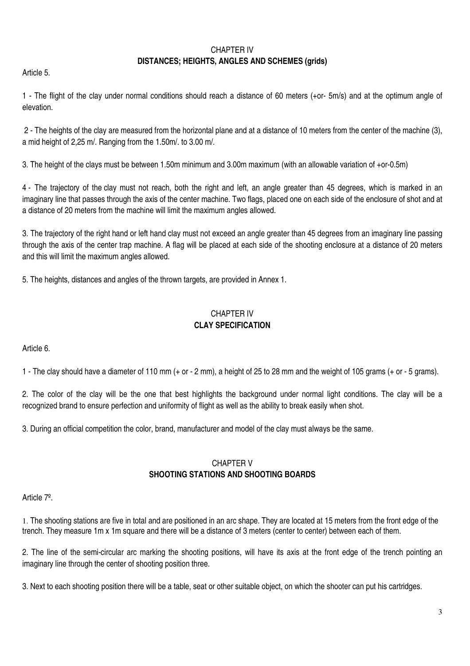#### CHAPTER IV

#### **DISTANCES; HEIGHTS, ANGLES AND SCHEMES (grids)**

Article 5.

1 - The flight of the clay under normal conditions should reach a distance of 60 meters (+or- 5m/s) and at the optimum angle of elevation.

 2 - The heights of the clay are measured from the horizontal plane and at a distance of 10 meters from the center of the machine (3), a mid height of 2,25 m/. Ranging from the 1.50m/. to 3.00 m/.

3. The height of the clays must be between 1.50m minimum and 3.00m maximum (with an allowable variation of +or-0.5m)

4 - The trajectory of the clay must not reach, both the right and left, an angle greater than 45 degrees, which is marked in an imaginary line that passes through the axis of the center machine. Two flags, placed one on each side of the enclosure of shot and at a distance of 20 meters from the machine will limit the maximum angles allowed.

3. The trajectory of the right hand or left hand clay must not exceed an angle greater than 45 degrees from an imaginary line passing through the axis of the center trap machine. A flag will be placed at each side of the shooting enclosure at a distance of 20 meters and this will limit the maximum angles allowed.

5. The heights, distances and angles of the thrown targets, are provided in Annex 1.

# CHAPTER IV **CLAY SPECIFICATION**

Article 6.

1 - The clay should have a diameter of 110 mm (+ or - 2 mm), a height of 25 to 28 mm and the weight of 105 grams (+ or - 5 grams).

2. The color of the clay will be the one that best highlights the background under normal light conditions. The clay will be a recognized brand to ensure perfection and uniformity of flight as well as the ability to break easily when shot.

3. During an official competition the color, brand, manufacturer and model of the clay must always be the same.

## CHAPTER V **SHOOTING STATIONS AND SHOOTING BOARDS**

Article 7º.

1. The shooting stations are five in total and are positioned in an arc shape. They are located at 15 meters from the front edge of the trench. They measure 1m x 1m square and there will be a distance of 3 meters (center to center) between each of them.

2. The line of the semi-circular arc marking the shooting positions, will have its axis at the front edge of the trench pointing an imaginary line through the center of shooting position three.

3. Next to each shooting position there will be a table, seat or other suitable object, on which the shooter can put his cartridges.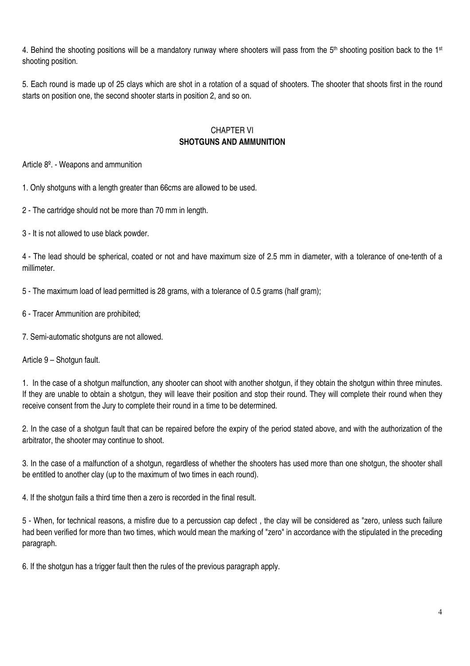4. Behind the shooting positions will be a mandatory runway where shooters will pass from the  $5<sup>th</sup>$  shooting position back to the 1<sup>st</sup> shooting position.

5. Each round is made up of 25 clays which are shot in a rotation of a squad of shooters. The shooter that shoots first in the round starts on position one, the second shooter starts in position 2, and so on.

#### CHAPTER VI **SHOTGUNS AND AMMUNITION**

Article 8º. - Weapons and ammunition

1. Only shotguns with a length greater than 66cms are allowed to be used.

2 - The cartridge should not be more than 70 mm in length.

3 - It is not allowed to use black powder.

4 - The lead should be spherical, coated or not and have maximum size of 2.5 mm in diameter, with a tolerance of one-tenth of a millimeter.

5 - The maximum load of lead permitted is 28 grams, with a tolerance of 0.5 grams (half gram);

- 6 Tracer Ammunition are prohibited;
- 7. Semi-automatic shotguns are not allowed.

Article 9 – Shotgun fault.

1. In the case of a shotgun malfunction, any shooter can shoot with another shotgun, if they obtain the shotgun within three minutes. If they are unable to obtain a shotgun, they will leave their position and stop their round. They will complete their round when they receive consent from the Jury to complete their round in a time to be determined.

2. In the case of a shotgun fault that can be repaired before the expiry of the period stated above, and with the authorization of the arbitrator, the shooter may continue to shoot.

3. In the case of a malfunction of a shotgun, regardless of whether the shooters has used more than one shotgun, the shooter shall be entitled to another clay (up to the maximum of two times in each round).

4. If the shotgun fails a third time then a zero is recorded in the final result.

5 - When, for technical reasons, a misfire due to a percussion cap defect , the clay will be considered as "zero, unless such failure had been verified for more than two times, which would mean the marking of "zero" in accordance with the stipulated in the preceding paragraph.

6. If the shotgun has a trigger fault then the rules of the previous paragraph apply.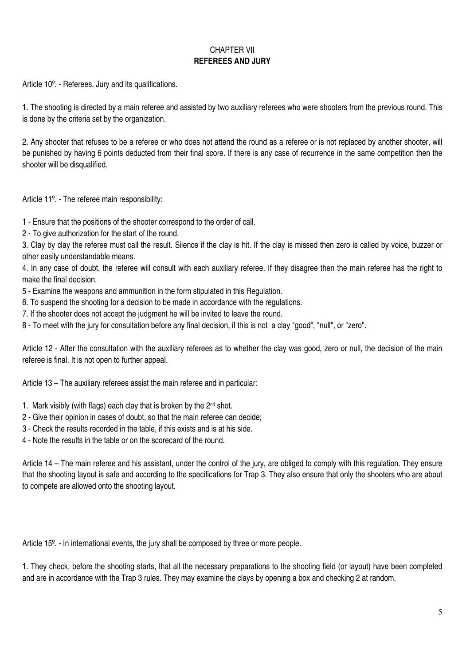# CHAPTER VII **REFEREES AND JURY**

Article 10º. - Referees, Jury and its qualifications.

1. The shooting is directed by a main referee and assisted by two auxiliary referees who were shooters from the previous round. This is done by the criteria set by the organization.

2. Any shooter that refuses to be a referee or who does not attend the round as a referee or is not replaced by another shooter, will be punished by having 6 points deducted from their final score. If there is any case of recurrence in the same competition then the shooter will be disqualified.

Article 11º. - The referee main responsibility:

1 - Ensure that the positions of the shooter correspond to the order of call.

2 - To give authorization for the start of the round.

3. Clay by clay the referee must call the result. Silence if the clay is hit. If the clay is missed then zero is called by voice, buzzer or other easily understandable means.

4. In any case of doubt, the referee will consult with each auxiliary referee. If they disagree then the main referee has the right to make the final decision.

5 - Examine the weapons and ammunition in the form stipulated in this Regulation.

6. To suspend the shooting for a decision to be made in accordance with the regulations.

7. If the shooter does not accept the judgment he will be invited to leave the round.

8 - To meet with the jury for consultation before any final decision, if this is not a clay "good", "null", or "zero".

Article 12 - After the consultation with the auxiliary referees as to whether the clay was good, zero or null, the decision of the main referee is final. It is not open to further appeal.

Article 13 – The auxiliary referees assist the main referee and in particular:

- 1. Mark visibly (with flags) each clay that is broken by the  $2<sup>nd</sup>$  shot.
- 2 Give their opinion in cases of doubt, so that the main referee can decide;
- 3 Check the results recorded in the table, if this exists and is at his side.
- 4 Note the results in the table or on the scorecard of the round.

Article 14 – The main referee and his assistant, under the control of the jury, are obliged to comply with this regulation. They ensure that the shooting layout is safe and according to the specifications for Trap 3. They also ensure that only the shooters who are about to compete are allowed onto the shooting layout.

Article 15<sup>o</sup>. - In international events, the jury shall be composed by three or more people.

1. They check, before the shooting starts, that all the necessary preparations to the shooting field (or layout) have been completed and are in accordance with the Trap 3 rules. They may examine the clays by opening a box and checking 2 at random.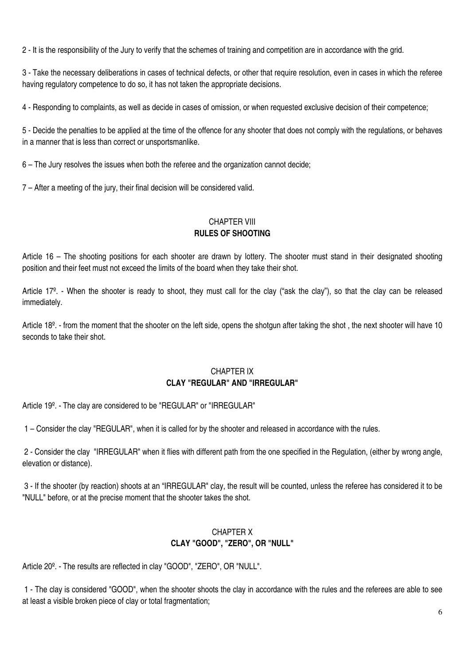2 - It is the responsibility of the Jury to verify that the schemes of training and competition are in accordance with the grid.

3 - Take the necessary deliberations in cases of technical defects, or other that require resolution, even in cases in which the referee having regulatory competence to do so, it has not taken the appropriate decisions.

4 - Responding to complaints, as well as decide in cases of omission, or when requested exclusive decision of their competence;

5 - Decide the penalties to be applied at the time of the offence for any shooter that does not comply with the regulations, or behaves in a manner that is less than correct or unsportsmanlike.

6 – The Jury resolves the issues when both the referee and the organization cannot decide;

7 – After a meeting of the jury, their final decision will be considered valid.

## CHAPTER VIII **RULES OF SHOOTING**

Article 16 – The shooting positions for each shooter are drawn by lottery. The shooter must stand in their designated shooting position and their feet must not exceed the limits of the board when they take their shot.

Article 17º. - When the shooter is ready to shoot, they must call for the clay ("ask the clay"), so that the clay can be released immediately.

Article 18<sup>o</sup>. - from the moment that the shooter on the left side, opens the shotgun after taking the shot, the next shooter will have 10 seconds to take their shot.

## CHAPTER IX **CLAY "REGULAR" AND "IRREGULAR"**

Article 19º. - The clay are considered to be "REGULAR" or "IRREGULAR"

1 – Consider the clay "REGULAR", when it is called for by the shooter and released in accordance with the rules.

 2 - Consider the clay "IRREGULAR" when it flies with different path from the one specified in the Regulation, (either by wrong angle, elevation or distance).

 3 - If the shooter (by reaction) shoots at an "IRREGULAR" clay, the result will be counted, unless the referee has considered it to be "NULL" before, or at the precise moment that the shooter takes the shot.

### CHAPTER X **CLAY "GOOD", "ZERO", OR "NULL"**

Article 20º. - The results are reflected in clay "GOOD", "ZERO", OR "NULL".

 1 - The clay is considered "GOOD", when the shooter shoots the clay in accordance with the rules and the referees are able to see at least a visible broken piece of clay or total fragmentation;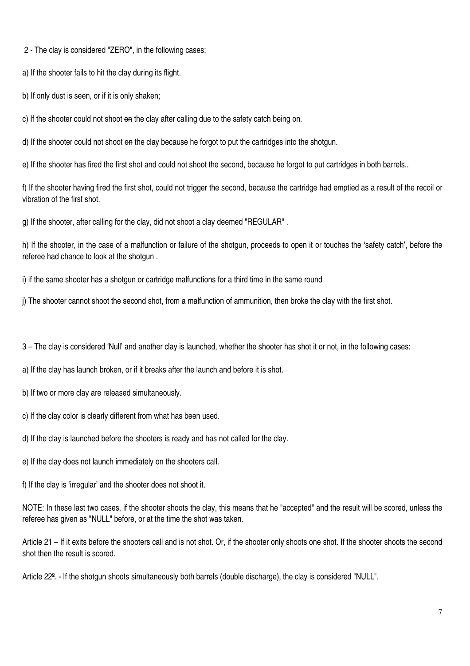2 - The clay is considered "ZERO", in the following cases:

a) If the shooter fails to hit the clay during its flight.

b) If only dust is seen, or if it is only shaken;

c) If the shooter could not shoot on the clay after calling due to the safety catch being on.

d) If the shooter could not shoot on the clay because he forgot to put the cartridges into the shotgun.

e) If the shooter has fired the first shot and could not shoot the second, because he forgot to put cartridges in both barrels..

f) If the shooter having fired the first shot, could not trigger the second, because the cartridge had emptied as a result of the recoil or vibration of the first shot.

g) If the shooter, after calling for the clay, did not shoot a clay deemed "REGULAR" .

h) If the shooter, in the case of a malfunction or failure of the shotgun, proceeds to open it or touches the 'safety catch', before the referee had chance to look at the shotgun .

i) if the same shooter has a shotgun or cartridge malfunctions for a third time in the same round

j) The shooter cannot shoot the second shot, from a malfunction of ammunition, then broke the clay with the first shot.

3 – The clay is considered 'Null' and another clay is launched, whether the shooter has shot it or not, in the following cases:

a) If the clay has launch broken, or if it breaks after the launch and before it is shot.

b) If two or more clay are released simultaneously.

c) If the clay color is clearly different from what has been used.

d) If the clay is launched before the shooters is ready and has not called for the clay.

e) If the clay does not launch immediately on the shooters call.

f) If the clay is 'irregular' and the shooter does not shoot it.

NOTE: In these last two cases, if the shooter shoots the clay, this means that he "accepted" and the result will be scored, unless the referee has given as "NULL" before, or at the time the shot was taken.

Article 21 – If it exits before the shooters call and is not shot. Or, if the shooter only shoots one shot. If the shooter shoots the second shot then the result is scored.

Article 22º. - If the shotgun shoots simultaneously both barrels (double discharge), the clay is considered "NULL".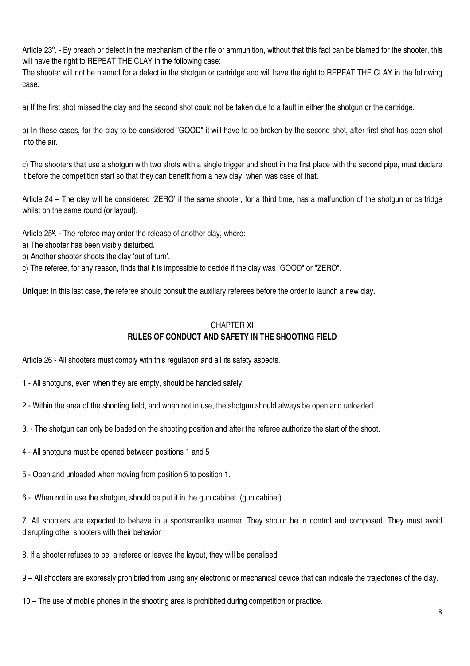Article 23º. - By breach or defect in the mechanism of the rifle or ammunition, without that this fact can be blamed for the shooter, this will have the right to REPEAT THE CLAY in the following case:

The shooter will not be blamed for a defect in the shotgun or cartridge and will have the right to REPEAT THE CLAY in the following case:

a) If the first shot missed the clay and the second shot could not be taken due to a fault in either the shotgun or the cartridge.

b) In these cases, for the clay to be considered "GOOD" it will have to be broken by the second shot, after first shot has been shot into the air.

c) The shooters that use a shotgun with two shots with a single trigger and shoot in the first place with the second pipe, must declare it before the competition start so that they can benefit from a new clay, when was case of that.

Article 24 – The clay will be considered 'ZERO' if the same shooter, for a third time, has a malfunction of the shotgun or cartridge whilst on the same round (or layout).

Article 25º. - The referee may order the release of another clay, where:

- a) The shooter has been visibly disturbed.
- b) Another shooter shoots the clay 'out of turn'.
- c) The referee, for any reason, finds that it is impossible to decide if the clay was "GOOD" or "ZERO".

**Unique:** In this last case, the referee should consult the auxiliary referees before the order to launch a new clay.

## CHAPTER XI **RULES OF CONDUCT AND SAFETY IN THE SHOOTING FIELD**

Article 26 - All shooters must comply with this regulation and all its safety aspects.

- 1 All shotguns, even when they are empty, should be handled safely;
- 2 Within the area of the shooting field, and when not in use, the shotgun should always be open and unloaded.
- 3. The shotgun can only be loaded on the shooting position and after the referee authorize the start of the shoot.
- 4 All shotguns must be opened between positions 1 and 5
- 5 Open and unloaded when moving from position 5 to position 1.
- 6 When not in use the shotgun, should be put it in the gun cabinet. (gun cabinet)

7. All shooters are expected to behave in a sportsmanlike manner. They should be in control and composed. They must avoid disrupting other shooters with their behavior

8. If a shooter refuses to be a referee or leaves the layout, they will be penalised

9 – All shooters are expressly prohibited from using any electronic or mechanical device that can indicate the trajectories of the clay.

10 – The use of mobile phones in the shooting area is prohibited during competition or practice.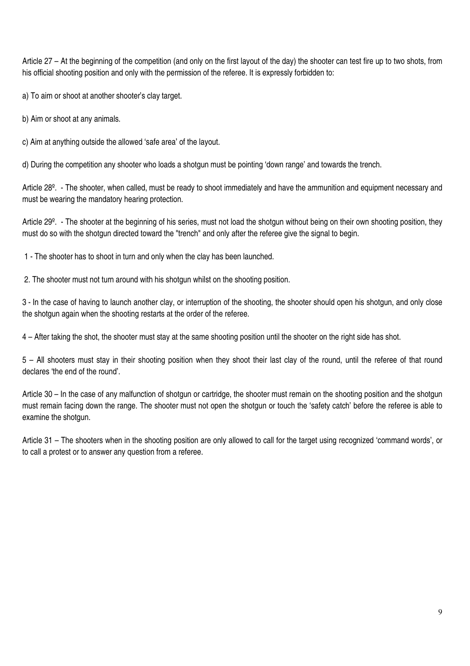Article 27 – At the beginning of the competition (and only on the first layout of the day) the shooter can test fire up to two shots, from his official shooting position and only with the permission of the referee. It is expressly forbidden to:

a) To aim or shoot at another shooter's clay target.

b) Aim or shoot at any animals.

c) Aim at anything outside the allowed 'safe area' of the layout.

d) During the competition any shooter who loads a shotgun must be pointing 'down range' and towards the trench.

Article 28º. - The shooter, when called, must be ready to shoot immediately and have the ammunition and equipment necessary and must be wearing the mandatory hearing protection.

Article 29º. - The shooter at the beginning of his series, must not load the shotgun without being on their own shooting position, they must do so with the shotgun directed toward the "trench" and only after the referee give the signal to begin.

1 - The shooter has to shoot in turn and only when the clay has been launched.

2. The shooter must not turn around with his shotgun whilst on the shooting position.

3 - In the case of having to launch another clay, or interruption of the shooting, the shooter should open his shotgun, and only close the shotgun again when the shooting restarts at the order of the referee.

4 – After taking the shot, the shooter must stay at the same shooting position until the shooter on the right side has shot.

5 – All shooters must stay in their shooting position when they shoot their last clay of the round, until the referee of that round declares 'the end of the round'.

Article 30 – In the case of any malfunction of shotgun or cartridge, the shooter must remain on the shooting position and the shotgun must remain facing down the range. The shooter must not open the shotgun or touch the 'safety catch' before the referee is able to examine the shotgun.

Article 31 – The shooters when in the shooting position are only allowed to call for the target using recognized 'command words', or to call a protest or to answer any question from a referee.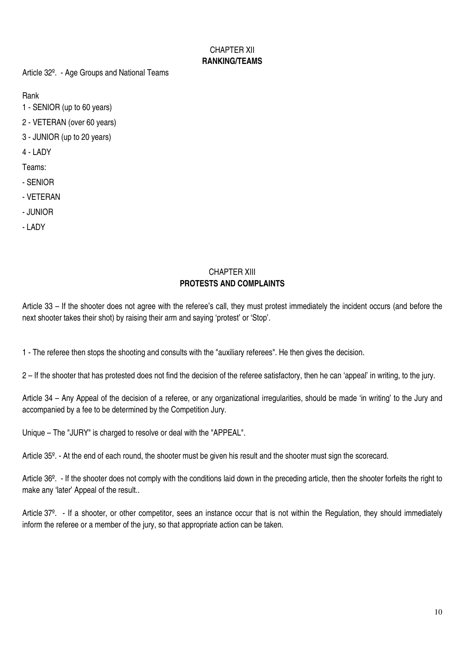# CHAPTER XII **RANKING/TEAMS**

Article 32º. - Age Groups and National Teams

Rank

1 - SENIOR (up to 60 years)

2 - VETERAN (over 60 years)

3 - JUNIOR (up to 20 years)

4 - LADY

Teams:

- SENIOR
- VETERAN
- JUNIOR
- LADY

#### CHAPTER XIII **PROTESTS AND COMPLAINTS**

Article 33 – If the shooter does not agree with the referee's call, they must protest immediately the incident occurs (and before the next shooter takes their shot) by raising their arm and saying 'protest' or 'Stop'.

1 - The referee then stops the shooting and consults with the "auxiliary referees". He then gives the decision.

2 – If the shooter that has protested does not find the decision of the referee satisfactory, then he can 'appeal' in writing, to the jury.

Article 34 – Any Appeal of the decision of a referee, or any organizational irregularities, should be made 'in writing' to the Jury and accompanied by a fee to be determined by the Competition Jury.

Unique – The "JURY" is charged to resolve or deal with the "APPEAL".

Article 35<sup>o</sup>. - At the end of each round, the shooter must be given his result and the shooter must sign the scorecard.

Article 36<sup>o</sup>. - If the shooter does not comply with the conditions laid down in the preceding article, then the shooter forfeits the right to make any 'later' Appeal of the result..

Article 37<sup>o</sup>. - If a shooter, or other competitor, sees an instance occur that is not within the Regulation, they should immediately inform the referee or a member of the jury, so that appropriate action can be taken.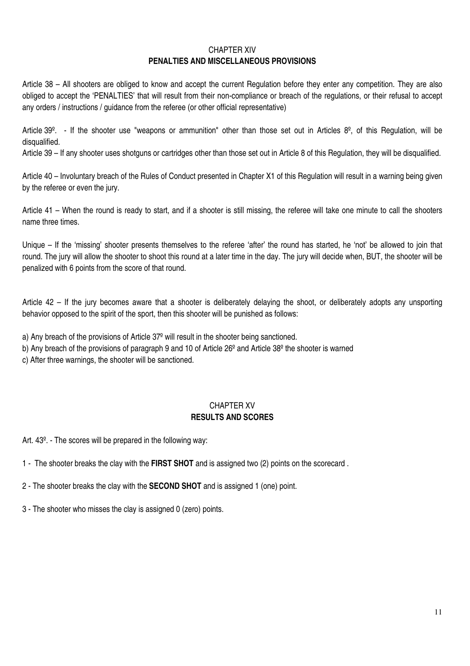#### CHAPTER XIV **PENALTIES AND MISCELLANEOUS PROVISIONS**

Article 38 – All shooters are obliged to know and accept the current Regulation before they enter any competition. They are also obliged to accept the 'PENALTIES' that will result from their non-compliance or breach of the regulations, or their refusal to accept any orders / instructions / guidance from the referee (or other official representative)

Article  $39^\circ$ . - If the shooter use "weapons or ammunition" other than those set out in Articles  $8^\circ$ , of this Regulation, will be disqualified.

Article 39 – If any shooter uses shotguns or cartridges other than those set out in Article 8 of this Regulation, they will be disqualified.

Article 40 – Involuntary breach of the Rules of Conduct presented in Chapter X1 of this Regulation will result in a warning being given by the referee or even the jury.

Article 41 – When the round is ready to start, and if a shooter is still missing, the referee will take one minute to call the shooters name three times.

Unique – If the 'missing' shooter presents themselves to the referee 'after' the round has started, he 'not' be allowed to join that round. The jury will allow the shooter to shoot this round at a later time in the day. The jury will decide when, BUT, the shooter will be penalized with 6 points from the score of that round.

Article 42 – If the jury becomes aware that a shooter is deliberately delaying the shoot, or deliberately adopts any unsporting behavior opposed to the spirit of the sport, then this shooter will be punished as follows:

a) Any breach of the provisions of Article 37º will result in the shooter being sanctioned.

b) Any breach of the provisions of paragraph 9 and 10 of Article 26<sup>°</sup> and Article 38<sup>°</sup> the shooter is warned

c) After three warnings, the shooter will be sanctioned.

# CHAPTER XV **RESULTS AND SCORES**

Art. 43º. - The scores will be prepared in the following way:

1 - The shooter breaks the clay with the **FIRST SHOT** and is assigned two (2) points on the scorecard .

2 - The shooter breaks the clay with the **SECOND SHOT** and is assigned 1 (one) point.

3 - The shooter who misses the clay is assigned 0 (zero) points.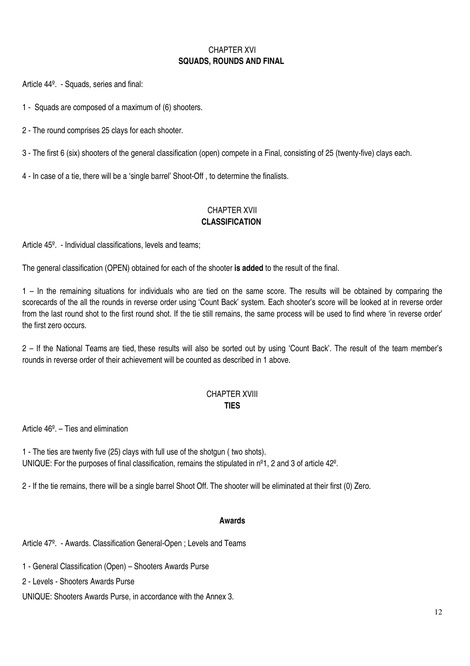# CHAPTER XVI **SQUADS, ROUNDS AND FINAL**

Article 44º. - Squads, series and final:

1 - Squads are composed of a maximum of (6) shooters.

2 - The round comprises 25 clays for each shooter.

3 - The first 6 (six) shooters of the general classification (open) compete in a Final, consisting of 25 (twenty-five) clays each.

4 - In case of a tie, there will be a 'single barrel' Shoot-Off , to determine the finalists.

#### CHAPTER XVII **CLASSIFICATION**

Article 45º. - Individual classifications, levels and teams;

The general classification (OPEN) obtained for each of the shooter **is added** to the result of the final.

1 – In the remaining situations for individuals who are tied on the same score. The results will be obtained by comparing the scorecards of the all the rounds in reverse order using 'Count Back' system. Each shooter's score will be looked at in reverse order from the last round shot to the first round shot. If the tie still remains, the same process will be used to find where 'in reverse order' the first zero occurs.

2 – If the National Teams are tied, these results will also be sorted out by using 'Count Back'. The result of the team member's rounds in reverse order of their achievement will be counted as described in 1 above.

#### CHAPTER XVIII **TIES**

Article 46º. – Ties and elimination

1 - The ties are twenty five (25) clays with full use of the shotgun ( two shots). UNIQUE: For the purposes of final classification, remains the stipulated in n<sup>o</sup>1, 2 and 3 of article 42<sup>o</sup>.

2 - If the tie remains, there will be a single barrel Shoot Off. The shooter will be eliminated at their first (0) Zero.

#### **Awards**

Article 47º. - Awards. Classification General-Open ; Levels and Teams

1 - General Classification (Open) – Shooters Awards Purse

2 - Levels - Shooters Awards Purse

UNIQUE: Shooters Awards Purse, in accordance with the Annex 3.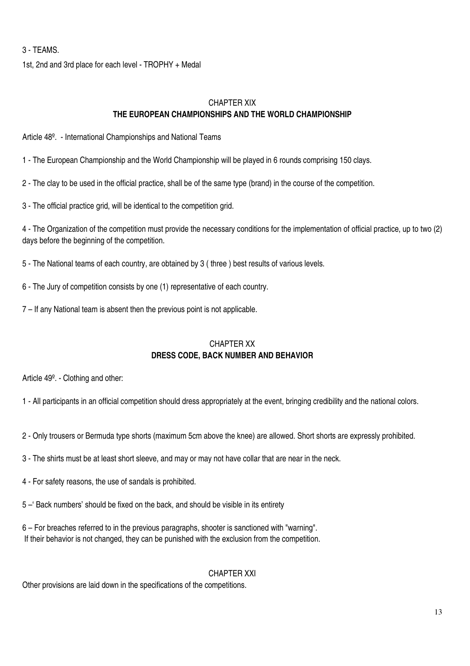#### 3 - TEAMS.

1st, 2nd and 3rd place for each level - TROPHY + Medal

### CHAPTER XIX **THE EUROPEAN CHAMPIONSHIPS AND THE WORLD CHAMPIONSHIP**

Article 48º. - International Championships and National Teams

1 - The European Championship and the World Championship will be played in 6 rounds comprising 150 clays.

2 - The clay to be used in the official practice, shall be of the same type (brand) in the course of the competition.

3 - The official practice grid, will be identical to the competition grid.

4 - The Organization of the competition must provide the necessary conditions for the implementation of official practice, up to two (2) days before the beginning of the competition.

5 - The National teams of each country, are obtained by 3 ( three ) best results of various levels.

6 - The Jury of competition consists by one (1) representative of each country.

7 – If any National team is absent then the previous point is not applicable.

#### CHAPTER XX **DRESS CODE, BACK NUMBER AND BEHAVIOR**

Article 49º. - Clothing and other:

1 - All participants in an official competition should dress appropriately at the event, bringing credibility and the national colors.

- 2 Only trousers or Bermuda type shorts (maximum 5cm above the knee) are allowed. Short shorts are expressly prohibited.
- 3 The shirts must be at least short sleeve, and may or may not have collar that are near in the neck.
- 4 For safety reasons, the use of sandals is prohibited.
- 5 –' Back numbers' should be fixed on the back, and should be visible in its entirety
- 6 For breaches referred to in the previous paragraphs, shooter is sanctioned with "warning". If their behavior is not changed, they can be punished with the exclusion from the competition.

CHAPTER XXI

Other provisions are laid down in the specifications of the competitions.